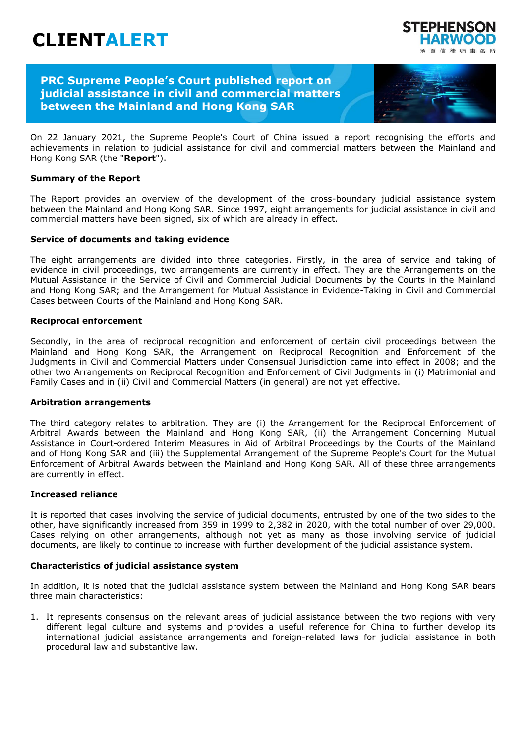# **CLIENTALERT**

## **PRC Supreme People's Court published report on judicial assistance in civil and commercial matters between the Mainland and Hong Kong SAR**



**FDHENSC** 

信律师事务所

On 22 January 2021, the Supreme People's Court of China issued a report recognising the efforts and achievements in relation to judicial assistance for civil and commercial matters between the Mainland and Hong Kong SAR (the "**Report**").

#### **Summary of the Report**

The Report provides an overview of the development of the cross-boundary judicial assistance system between the Mainland and Hong Kong SAR. Since 1997, eight arrangements for judicial assistance in civil and commercial matters have been signed, six of which are already in effect.

#### **Service of documents and taking evidence**

The eight arrangements are divided into three categories. Firstly, in the area of service and taking of evidence in civil proceedings, two arrangements are currently in effect. They are the Arrangements on the Mutual Assistance in the Service of Civil and Commercial Judicial Documents by the Courts in the Mainland and Hong Kong SAR; and the Arrangement for Mutual Assistance in Evidence-Taking in Civil and Commercial Cases between Courts of the Mainland and Hong Kong SAR.

#### **Reciprocal enforcement**

Secondly, in the area of reciprocal recognition and enforcement of certain civil proceedings between the Mainland and Hong Kong SAR, the Arrangement on Reciprocal Recognition and Enforcement of the Judgments in Civil and Commercial Matters under Consensual Jurisdiction came into effect in 2008; and the other two Arrangements on Reciprocal Recognition and Enforcement of Civil Judgments in (i) Matrimonial and Family Cases and in (ii) Civil and Commercial Matters (in general) are not yet effective.

#### **Arbitration arrangements**

The third category relates to arbitration. They are (i) the Arrangement for the Reciprocal Enforcement of Arbitral Awards between the Mainland and Hong Kong SAR, (ii) the Arrangement Concerning Mutual Assistance in Court-ordered Interim Measures in Aid of Arbitral Proceedings by the Courts of the Mainland and of Hong Kong SAR and (iii) the Supplemental Arrangement of the Supreme People's Court for the Mutual Enforcement of Arbitral Awards between the Mainland and Hong Kong SAR. All of these three arrangements are currently in effect.

#### **Increased reliance**

It is reported that cases involving the service of judicial documents, entrusted by one of the two sides to the other, have significantly increased from 359 in 1999 to 2,382 in 2020, with the total number of over 29,000. Cases relying on other arrangements, although not yet as many as those involving service of judicial documents, are likely to continue to increase with further development of the judicial assistance system.

#### **Characteristics of judicial assistance system**

In addition, it is noted that the judicial assistance system between the Mainland and Hong Kong SAR bears three main characteristics:

1. It represents consensus on the relevant areas of judicial assistance between the two regions with very different legal culture and systems and provides a useful reference for China to further develop its international judicial assistance arrangements and foreign-related laws for judicial assistance in both procedural law and substantive law.